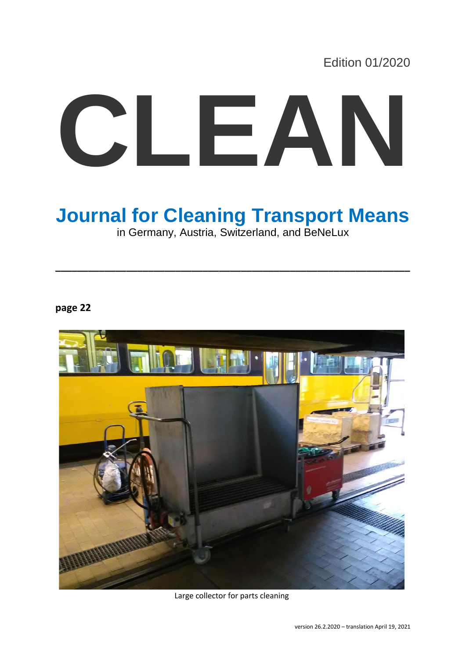Edition 01/2020

# **CLEAN**

# **Journal for Cleaning Transport Means**

in Germany, Austria, Switzerland, and BeNeLux

**\_\_\_\_\_\_\_\_\_\_\_\_\_\_\_\_\_\_\_\_\_\_\_\_\_\_\_\_\_\_\_\_\_\_\_\_\_\_\_\_\_\_\_\_\_\_\_\_\_\_\_\_\_\_\_\_\_\_\_\_\_\_\_\_\_**

**page 22**



Large collector for parts cleaning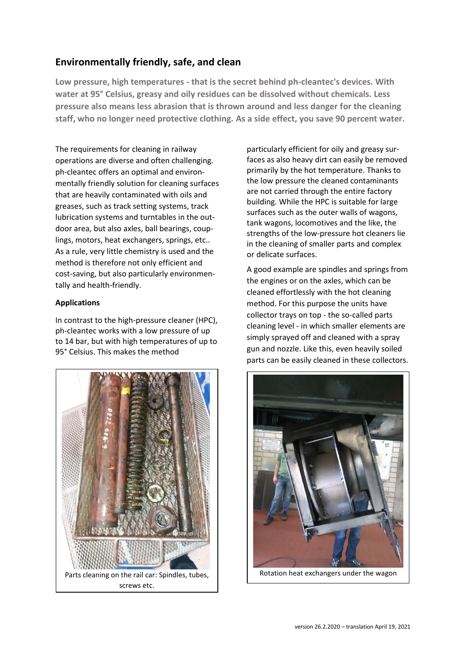## **Environmentally friendly, safe, and clean**

**Low pressure, high temperatures - that is the secret behind ph-cleantec's devices. With water at 95° Celsius, greasy and oily residues can be dissolved without chemicals. Less pressure also means less abrasion that is thrown around and less danger for the cleaning staff, who no longer need protective clothing. As a side effect, you save 90 percent water.**

The requirements for cleaning in railway operations are diverse and often challenging. ph-cleantec offers an optimal and environmentally friendly solution for cleaning surfaces that are heavily contaminated with oils and greases, such as track setting systems, track lubrication systems and turntables in the outdoor area, but also axles, ball bearings, couplings, motors, heat exchangers, springs, etc.. As a rule, very little chemistry is used and the method is therefore not only efficient and cost-saving, but also particularly environmentally and health-friendly.

### **Applications**

In contrast to the high-pressure cleaner (HPC), ph-cleantec works with a low pressure of up to 14 bar, but with high temperatures of up to 95° Celsius. This makes the method



particularly efficient for oily and greasy surfaces as also heavy dirt can easily be removed primarily by the hot temperature. Thanks to the low pressure the cleaned contaminants are not carried through the entire factory building. While the HPC is suitable for large surfaces such as the outer walls of wagons, tank wagons, locomotives and the like, the strengths of the low-pressure hot cleaners lie in the cleaning of smaller parts and complex or delicate surfaces.

A good example are spindles and springs from the engines or on the axles, which can be cleaned effortlessly with the hot cleaning method. For this purpose the units have collector trays on top - the so-called parts cleaning level - in which smaller elements are simply sprayed off and cleaned with a spray gun and nozzle. Like this, even heavily soiled parts can be easily cleaned in these collectors.

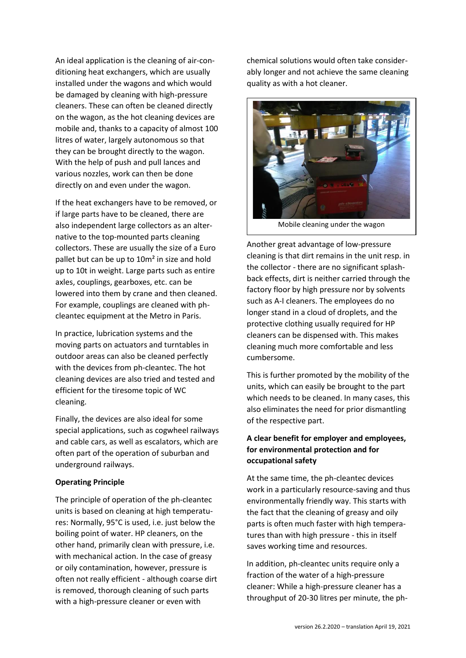An ideal application is the cleaning of air-conditioning heat exchangers, which are usually installed under the wagons and which would be damaged by cleaning with high-pressure cleaners. These can often be cleaned directly on the wagon, as the hot cleaning devices are mobile and, thanks to a capacity of almost 100 litres of water, largely autonomous so that they can be brought directly to the wagon. With the help of push and pull lances and various nozzles, work can then be done directly on and even under the wagon.

If the heat exchangers have to be removed, or if large parts have to be cleaned, there are also independent large collectors as an alternative to the top-mounted parts cleaning collectors. These are usually the size of a Euro pallet but can be up to 10m² in size and hold up to 10t in weight. Large parts such as entire axles, couplings, gearboxes, etc. can be lowered into them by crane and then cleaned. For example, couplings are cleaned with phcleantec equipment at the Metro in Paris.

In practice, lubrication systems and the moving parts on actuators and turntables in outdoor areas can also be cleaned perfectly with the devices from ph-cleantec. The hot cleaning devices are also tried and tested and efficient for the tiresome topic of WC cleaning.

Finally, the devices are also ideal for some special applications, such as cogwheel railways and cable cars, as well as escalators, which are often part of the operation of suburban and underground railways.

### **Operating Principle**

The principle of operation of the ph-cleantec units is based on cleaning at high temperatures: Normally, 95°C is used, i.e. just below the boiling point of water. HP cleaners, on the other hand, primarily clean with pressure, i.e. with mechanical action. In the case of greasy or oily contamination, however, pressure is often not really efficient - although coarse dirt is removed, thorough cleaning of such parts with a high-pressure cleaner or even with

chemical solutions would often take considerably longer and not achieve the same cleaning quality as with a hot cleaner.



Another great advantage of low-pressure cleaning is that dirt remains in the unit resp. in the collector - there are no significant splashback effects, dirt is neither carried through the factory floor by high pressure nor by solvents such as A-I cleaners. The employees do no longer stand in a cloud of droplets, and the protective clothing usually required for HP cleaners can be dispensed with. This makes cleaning much more comfortable and less cumbersome.

This is further promoted by the mobility of the units, which can easily be brought to the part which needs to be cleaned. In many cases, this also eliminates the need for prior dismantling of the respective part.

### **A clear benefit for employer and employees, for environmental protection and for occupational safety**

At the same time, the ph-cleantec devices work in a particularly resource-saving and thus environmentally friendly way. This starts with the fact that the cleaning of greasy and oily parts is often much faster with high temperatures than with high pressure - this in itself saves working time and resources.

In addition, ph-cleantec units require only a fraction of the water of a high-pressure cleaner: While a high-pressure cleaner has a throughput of 20-30 litres per minute, the ph-